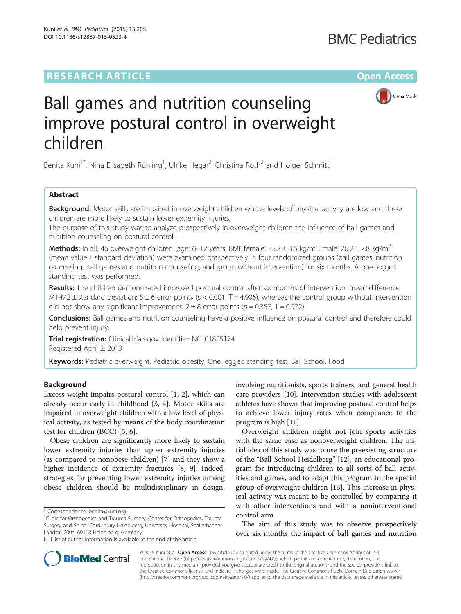## **RESEARCH ARTICLE External Structure Community Community Community Community Community Community Community Community**



# Ball games and nutrition counseling improve postural control in overweight children

Benita Kuni<sup>1\*</sup>, Nina Elisabeth Rühling<sup>1</sup>, Ulrike Hegar<sup>2</sup>, Christina Roth<sup>2</sup> and Holger Schmitt<sup>1</sup>

## Abstract

Background: Motor skills are impaired in overweight children whose levels of physical activity are low and these children are more likely to sustain lower extremity injuries.

The purpose of this study was to analyze prospectively in overweight children the influence of ball games and nutrition counseling on postural control.

Methods: In all, 46 overweight children (age: 6–12 years, BMI: female: 25.2  $\pm$  3.6 kg/m<sup>2</sup>, male: 26.2  $\pm$  2.8 kg/m<sup>2</sup> (mean value ± standard deviation) were examined prospectively in four randomized groups (ball games, nutrition counseling, ball games and nutrition counseling, and group without intervention) for six months. A one-legged standing test was performed.

Results: The children demonstrated improved postural control after six months of intervention: mean difference M1-M2  $\pm$  standard deviation: 5  $\pm$  6 error points ( $p$  < 0.001, T = 4.906), whereas the control group without intervention did not show any significant improvement:  $2 \pm 8$  error points ( $p = 0.357$ , T = 0.972).

Conclusions: Ball games and nutrition counseling have a positive influence on postural control and therefore could help prevent injury.

Trial registration: ClinicalTrials.gov Identifier: [NCT01825174](https://clinicaltrials.gov/ct2/show/NCT01825174?term=NCT01825174&rank=1). Registered April 2, 2013

Keywords: Pediatric overweight, Pediatric obesity, One legged standing test, Ball School, Food

## **Background**

Excess weight impairs postural control [\[1, 2\]](#page-3-0), which can already occur early in childhood [\[3](#page-3-0), [4\]](#page-3-0). Motor skills are impaired in overweight children with a low level of physical activity, as tested by means of the body coordination test for children (BCC) [\[5, 6](#page-3-0)].

Obese children are significantly more likely to sustain lower extremity injuries than upper extremity injuries (as compared to nonobese children) [[7\]](#page-3-0) and they show a higher incidence of extremity fractures [[8, 9\]](#page-3-0). Indeed, strategies for preventing lower extremity injuries among obese children should be multidisciplinary in design,

involving nutritionists, sports trainers, and general health care providers [\[10\]](#page-3-0). Intervention studies with adolescent athletes have shown that improving postural control helps to achieve lower injury rates when compliance to the program is high [[11](#page-3-0)].

Overweight children might not join sports activities with the same ease as nonoverweight children. The initial idea of this study was to use the preexisting structure of the "Ball School Heidelberg" [[12](#page-3-0)], an educational program for introducing children to all sorts of ball activities and games, and to adapt this program to the special group of overweight children [[13\]](#page-3-0). This increase in physical activity was meant to be controlled by comparing it with other interventions and with a noninterventional control arm.

The aim of this study was to observe prospectively over six months the impact of ball games and nutrition



© 2015 Kuni et al. Open Access This article is distributed under the terms of the Creative Commons Attribution 4.0 International License [\(http://creativecommons.org/licenses/by/4.0/](http://creativecommons.org/licenses/by/4.0/)), which permits unrestricted use, distribution, and reproduction in any medium, provided you give appropriate credit to the original author(s) and the source, provide a link to the Creative Commons license, and indicate if changes were made. The Creative Commons Public Domain Dedication waiver [\(http://creativecommons.org/publicdomain/zero/1.0/](http://creativecommons.org/publicdomain/zero/1.0/)) applies to the data made available in this article, unless otherwise stated.

<sup>\*</sup> Correspondence: [benita@kuni.org](mailto:benita@kuni.org) <sup>1</sup>

<sup>&</sup>lt;sup>1</sup>Clinic for Orthopedics and Trauma Surgery, Center for Orthopedics, Trauma Surgery and Spinal Cord Injury Heidelberg, University Hospital, Schlierbacher Landstr. 200a, 69118 Heidelberg, Germany

Full list of author information is available at the end of the article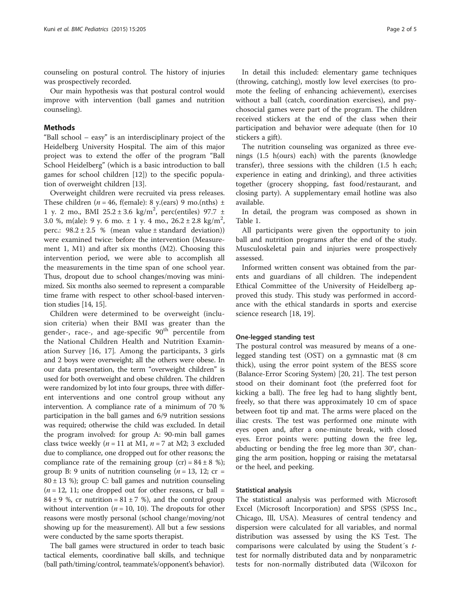counseling on postural control. The history of injuries was prospectively recorded.

Our main hypothesis was that postural control would improve with intervention (ball games and nutrition counseling).

#### Methods

"Ball school – easy" is an interdisciplinary project of the Heidelberg University Hospital. The aim of this major project was to extend the offer of the program "Ball School Heidelberg" (which is a basic introduction to ball games for school children [\[12](#page-3-0)]) to the specific population of overweight children [\[13\]](#page-3-0).

Overweight children were recruited via press releases. These children (*n* = 46, f(emale): 8 y.(ears) 9 mo.(nths)  $\pm$ 1 y. 2 mo., BMI  $25.2 \pm 3.6$  kg/m<sup>2</sup>, perc(entiles) 97.7  $\pm$ 3.0 %, m(ale): 9 y. 6 mo.  $\pm$  1 y. 4 mo., 26.2  $\pm$  2.8 kg/m<sup>2</sup>, perc.:  $98.2 \pm 2.5$  % (mean value  $\pm$  standard deviation)) were examined twice: before the intervention (Measurement 1, M1) and after six months (M2). Choosing this intervention period, we were able to accomplish all the measurements in the time span of one school year. Thus, dropout due to school changes/moving was minimized. Six months also seemed to represent a comparable time frame with respect to other school-based intervention studies [[14](#page-3-0), [15\]](#page-3-0).

Children were determined to be overweight (inclusion criteria) when their BMI was greater than the gender-, race-, and age-specific  $90<sup>th</sup>$  percentile from the National Children Health and Nutrition Examination Survey [\[16](#page-3-0), [17\]](#page-3-0). Among the participants, 3 girls and 2 boys were overweight; all the others were obese. In our data presentation, the term "overweight children" is used for both overweight and obese children. The children were randomized by lot into four groups, three with different interventions and one control group without any intervention. A compliance rate of a minimum of 70 % participation in the ball games and 6/9 nutrition sessions was required; otherwise the child was excluded. In detail the program involved: for group A: 90-min ball games class twice weekly ( $n = 11$  at M1,  $n = 7$  at M2; 3 excluded due to compliance, one dropped out for other reasons; the compliance rate of the remaining group  $(cr) = 84 \pm 8$  %); group B: 9 units of nutrition counseling ( $n = 13$ , 12; cr =  $80 \pm 13$  %); group C: ball games and nutrition counseling  $(n = 12, 11;$  one dropped out for other reasons, cr ball =  $84 \pm 9$  %, cr nutrition =  $81 \pm 7$  %), and the control group without intervention ( $n = 10, 10$ ). The dropouts for other reasons were mostly personal (school change/moving/not showing up for the measurement). All but a few sessions were conducted by the same sports therapist.

The ball games were structured in order to teach basic tactical elements, coordinative ball skills, and technique (ball path/timing/control, teammate's/opponent's behavior).

In detail this included: elementary game techniques (throwing, catching), mostly low level exercises (to promote the feeling of enhancing achievement), exercises without a ball (catch, coordination exercises), and psychosocial games were part of the program. The children received stickers at the end of the class when their participation and behavior were adequate (then for 10 stickers a gift).

The nutrition counseling was organized as three evenings (1.5 h(ours) each) with the parents (knowledge transfer), three sessions with the children (1.5 h each; experience in eating and drinking), and three activities together (grocery shopping, fast food/restaurant, and closing party). A supplementary email hotline was also available.

In detail, the program was composed as shown in Table [1.](#page-2-0)

All participants were given the opportunity to join ball and nutrition programs after the end of the study. Musculoskeletal pain and injuries were prospectively assessed.

Informed written consent was obtained from the parents and guardians of all children. The independent Ethical Committee of the University of Heidelberg approved this study. This study was performed in accordance with the ethical standards in sports and exercise science research [\[18, 19\]](#page-3-0).

#### One-legged standing test

The postural control was measured by means of a onelegged standing test (OST) on a gymnastic mat (8 cm thick), using the error point system of the BESS score (Balance-Error Scoring System) [\[20](#page-3-0), [21](#page-3-0)]. The test person stood on their dominant foot (the preferred foot for kicking a ball). The free leg had to hang slightly bent, freely, so that there was approximately 10 cm of space between foot tip and mat. The arms were placed on the iliac crests. The test was performed one minute with eyes open and, after a one-minute break, with closed eyes. Error points were: putting down the free leg, abducting or bending the free leg more than 30°, changing the arm position, hopping or raising the metatarsal or the heel, and peeking.

#### Statistical analysis

The statistical analysis was performed with Microsoft Excel (Microsoft Incorporation) and SPSS (SPSS Inc., Chicago, Ill, USA). Measures of central tendency and dispersion were calculated for all variables, and normal distribution was assessed by using the KS Test. The comparisons were calculated by using the Student´s ttest for normally distributed data and by nonparametric tests for non-normally distributed data (Wilcoxon for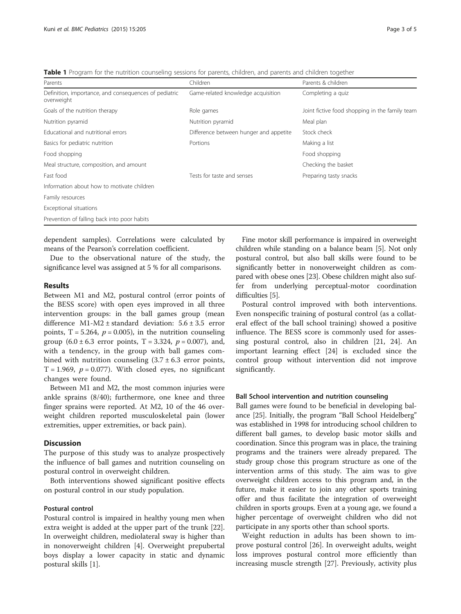<span id="page-2-0"></span>Table 1 Program for the nutrition counseling sessions for parents, children, and parents and children together

| Parents                                                             | Children                               | Parents & children                             |
|---------------------------------------------------------------------|----------------------------------------|------------------------------------------------|
| Definition, importance, and consequences of pediatric<br>overweight | Game-related knowledge acquisition     | Completing a quiz                              |
| Goals of the nutrition therapy                                      | Role games                             | Joint fictive food shopping in the family team |
| Nutrition pyramid                                                   | Nutrition pyramid                      | Meal plan                                      |
| Educational and nutritional errors                                  | Difference between hunger and appetite | Stock check                                    |
| Basics for pediatric nutrition                                      | Portions                               | Making a list                                  |
| Food shopping                                                       |                                        | Food shopping                                  |
| Meal structure, composition, and amount                             |                                        | Checking the basket                            |
| Fast food                                                           | Tests for taste and senses             | Preparing tasty snacks                         |
| Information about how to motivate children                          |                                        |                                                |
| Family resources                                                    |                                        |                                                |
| Exceptional situations                                              |                                        |                                                |
| Prevention of falling back into poor habits                         |                                        |                                                |

dependent samples). Correlations were calculated by means of the Pearson's correlation coefficient.

Due to the observational nature of the study, the significance level was assigned at 5 % for all comparisons.

#### Results

Between M1 and M2, postural control (error points of the BESS score) with open eyes improved in all three intervention groups: in the ball games group (mean difference M1-M2  $\pm$  standard deviation: 5.6  $\pm$  3.5 error points,  $T = 5.264$ ,  $p = 0.005$ ), in the nutrition counseling group  $(6.0 \pm 6.3$  error points, T = 3.324,  $p = 0.007$ ), and, with a tendency, in the group with ball games combined with nutrition counseling  $(3.7 \pm 6.3 \text{ error points},$ T = 1.969,  $p = 0.077$ ). With closed eyes, no significant changes were found.

Between M1 and M2, the most common injuries were ankle sprains (8/40); furthermore, one knee and three finger sprains were reported. At M2, 10 of the 46 overweight children reported musculoskeletal pain (lower extremities, upper extremities, or back pain).

#### **Discussion**

The purpose of this study was to analyze prospectively the influence of ball games and nutrition counseling on postural control in overweight children.

Both interventions showed significant positive effects on postural control in our study population.

#### Postural control

Postural control is impaired in healthy young men when extra weight is added at the upper part of the trunk [\[22](#page-3-0)]. In overweight children, mediolateral sway is higher than in nonoverweight children [\[4](#page-3-0)]. Overweight prepubertal boys display a lower capacity in static and dynamic postural skills [\[1](#page-3-0)].

Fine motor skill performance is impaired in overweight children while standing on a balance beam [\[5](#page-3-0)]. Not only postural control, but also ball skills were found to be significantly better in nonoverweight children as compared with obese ones [[23](#page-3-0)]. Obese children might also suffer from underlying perceptual-motor coordination difficulties [[5](#page-3-0)].

Postural control improved with both interventions. Even nonspecific training of postural control (as a collateral effect of the ball school training) showed a positive influence. The BESS score is commonly used for assessing postural control, also in children [[21, 24](#page-3-0)]. An important learning effect [[24](#page-3-0)] is excluded since the control group without intervention did not improve significantly.

#### Ball School intervention and nutrition counseling

Ball games were found to be beneficial in developing balance [[25](#page-4-0)]. Initially, the program "Ball School Heidelberg" was established in 1998 for introducing school children to different ball games, to develop basic motor skills and coordination. Since this program was in place, the training programs and the trainers were already prepared. The study group chose this program structure as one of the intervention arms of this study. The aim was to give overweight children access to this program and, in the future, make it easier to join any other sports training offer and thus facilitate the integration of overweight children in sports groups. Even at a young age, we found a higher percentage of overweight children who did not participate in any sports other than school sports.

Weight reduction in adults has been shown to improve postural control [\[26\]](#page-4-0). In overweight adults, weight loss improves postural control more efficiently than increasing muscle strength [\[27](#page-4-0)]. Previously, activity plus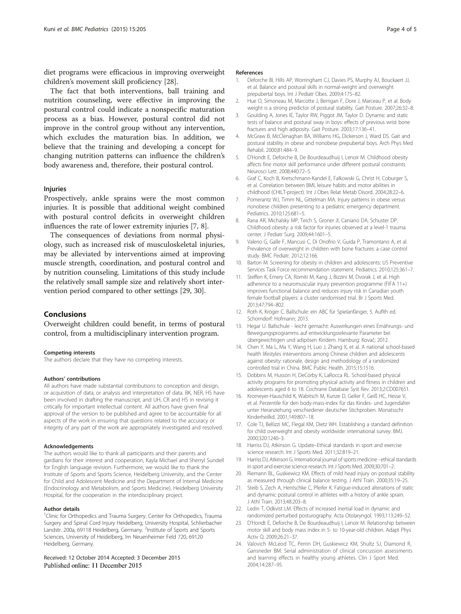<span id="page-3-0"></span>diet programs were efficacious in improving overweight children's movement skill proficiency [\[28\]](#page-4-0).

The fact that both interventions, ball training and nutrition counseling, were effective in improving the postural control could indicate a nonspecific maturation process as a bias. However, postural control did not improve in the control group without any intervention, which excludes the maturation bias. In addition, we believe that the training and developing a concept for changing nutrition patterns can influence the children's body awareness and, therefore, their postural control.

### Injuries

Prospectively, ankle sprains were the most common injuries. It is possible that additional weight combined with postural control deficits in overweight children influences the rate of lower extremity injuries [7, 8].

The consequences of deviations from normal physiology, such as increased risk of musculoskeletal injuries, may be alleviated by interventions aimed at improving muscle strength, coordination, and postural control and by nutrition counseling. Limitations of this study include the relatively small sample size and relatively short intervention period compared to other settings [[29, 30\]](#page-4-0).

#### Conclusions

Overweight children could benefit, in terms of postural control, from a multidisciplinary intervention program.

#### Competing interests

The authors declare that they have no competing interests.

#### Authors' contributions

All authors have made substantial contributions to conception and design, or acquisition of data, or analysis and interpretation of data. BK, NER, HS have been involved in drafting the manuscript, and UH, CR and HS in revising it critically for important intellectual content. All authors have given final approval of the version to be published and agree to be accountable for all aspects of the work in ensuring that questions related to the accuracy or integrity of any part of the work are appropriately investigated and resolved.

#### Acknowledgements

The authors would like to thank all participants and their parents and gardians for their interest and cooperation, Kayla Michael and Sherryl Sundell for English language revision. Furthermore, we would like to thank the Institute of Sports and Sports Science, Heidelberg University, and the Center for Child and Adolescent Medicine and the Department of Internal Medicine (Endocrinology and Metabolism, and Sports Medicine), Heidelberg University Hospital, for the cooperation in the interdisciplinary project.

#### Author details

<sup>1</sup>Clinic for Orthopedics and Trauma Surgery, Center for Orthopedics, Trauma Surgery and Spinal Cord Injury Heidelberg, University Hospital, Schlierbacher Landstr. 200a, 69118 Heidelberg, Germany. <sup>2</sup>Institute of Sports and Sports Sciences, University of Heidelberg, Im Neuenheimer Feld 720, 69120 Heidelberg, Germany.

#### Received: 12 October 2014 Accepted: 3 December 2015 Published online: 11 December 2015

#### References

- 1. Deforche BI, Hills AP, Worringham CJ, Davies PS, Murphy AJ, Bouckaert JJ, et al. Balance and postural skills in normal-weight and overweight prepubertal boys. Int J Pediatr Obes. 2009;4:175–82.
- 2. Hue O, Simoneau M, Marcotte J, Berrigan F, Dore J, Marceau P, et al. Body weight is a strong predictor of postural stability. Gait Posture. 2007;26:32–8.
- 3. Goulding A, Jones IE, Taylor RW, Piggot JM, Taylor D. Dynamic and static tests of balance and postural sway in boys: effects of previous wrist bone fractures and high adiposity. Gait Posture. 2003;17:136–41.
- 4. McGraw B, McClenaghan BA, Williams HG, Dickerson J, Ward DS. Gait and postural stability in obese and nonobese prepubertal boys. Arch Phys Med Rehabil. 2000;81:484–9.
- 5. D'Hondt E, Deforche B, De Bourdeaudhuij I, Lenoir M. Childhood obesity affects fine motor skill performance under different postural constraints. Neurosci Lett. 2008;440:72–5.
- 6. Graf C, Koch B, Kretschmann-Kandel E, Falkowski G, Christ H, Coburger S, et al. Correlation between BMI, leisure habits and motor abilities in childhood (CHILT-project). Int J Obes Relat Metab Disord. 2004;28:22–6.
- 7. Pomerantz WJ, Timm NL, Gittelman MA. Injury patterns in obese versus nonobese children presenting to a pediatric emergency department. Pediatrics. 2010;125:681–5.
- 8. Rana AR, Michalsky MP, Teich S, Groner JI, Caniano DA, Schuster DP. Childhood obesity: a risk factor for injuries observed at a level-1 trauma center. J Pediatr Surg. 2009;44:1601–5.
- 9. Valerio G, Galle F, Mancusi C, Di Onofrio V, Guida P, Tramontano A, et al. Prevalence of overweight in children with bone fractures: a case control study. BMC Pediatr. 2012;12:166.
- 10. Barton M. Screening for obesity in children and adolescents: US Preventive Services Task Force recommendation statement. Pediatrics. 2010;125:361–7.
- 11. Steffen K, Emery CA, Romiti M, Kang J, Bizzini M, Dvorak J, et al. High adherence to a neuromuscular injury prevention programme (FIFA 11+) improves functional balance and reduces injury risk in Canadian youth female football players: a cluster randomised trial. Br J Sports Med. 2013;47:794–802.
- 12. Roth K, Kröger C. Ballschule: ein ABC für Spielanfänger, 5. Auflth ed. Schorndorf: Hofmann; 2015.
- 13. Hegar U. Ballschule leicht gemacht: Auswirkungen eines Ernährungs- und Bewegungsprogramms auf entwicklungsrelevante Parameter bei übergewichtigen und adipösen Kindern. Hamburg: Kovač; 2012.
- 14. Chen Y, Ma L, Ma Y, Wang H, Luo J, Zhang X, et al. A national school-based health lifestyles interventions among Chinese children and adolescents against obesity: rationale, design and methodology of a randomized controlled trial in China. BMC Public Health. 2015;15:1516.
- 15. Dobbins M, Husson H, DeCorby K, LaRocca RL. School-based physical activity programs for promoting physical activity and fitness in children and adolescents aged 6 to 18. Cochrane Database Syst Rev. 2013;2:CD007651.
- 16. Kromeyer-Hauschild K, Wabitsch M, Kunze D, Geller F, Geiß HC, Hesse V, et al. Perzentile für den body-mass-index für das Kindes- und Jugendalter unter Heranziehung verschiedener deutscher Stichproben. Monatsschr Kinderheilkd. 2001;149:807–18.
- 17. Cole TJ, Bellizzi MC, Flegal KM, Dietz WH. Establishing a standard definition for child overweight and obesity worldwide: international survey. BMJ. 2000;320:1240–3.
- 18. Harriss DJ, Atkinson G. Update–Ethical standards in sport and exercise science research. Int J Sports Med. 2011;32:819–21.
- 19. Harriss DJ, Atkinson G. International journal of sports medicine ethical standards in sport and exercise science research. Int J Sports Med. 2009;30:701–2.
- 20. Riemann BL, Guskiewicz KM. Effects of mild head injury on postural stability as measured through clinical balance testing. J Athl Train. 2000;35:19–25.
- 21. Steib S, Zech A, Hentschke C, Pfeifer K. Fatigue-induced alterations of static and dynamic postural control in athletes with a history of ankle sprain. J Athl Train. 2013;48:203–8.
- 22. Ledin T, Odkvist LM. Effects of increased inertial load in dynamic and randomized perturbed posturography. Acta Otolaryngol. 1993;113:249–52.
- 23. D'Hondt E, Deforche B, De Bourdeaudhuij I, Lenoir M. Relationship between motor skill and body mass index in 5- to 10-year-old children. Adapt Phys Activ Q. 2009;26:21–37.
- 24. Valovich McLeod TC, Perrin DH, Guskiewicz KM, Shultz SJ, Diamond R, Gansneder BM. Serial administration of clinical concussion assessments and learning effects in healthy young athletes. Clin J Sport Med. 2004;14:287–95.